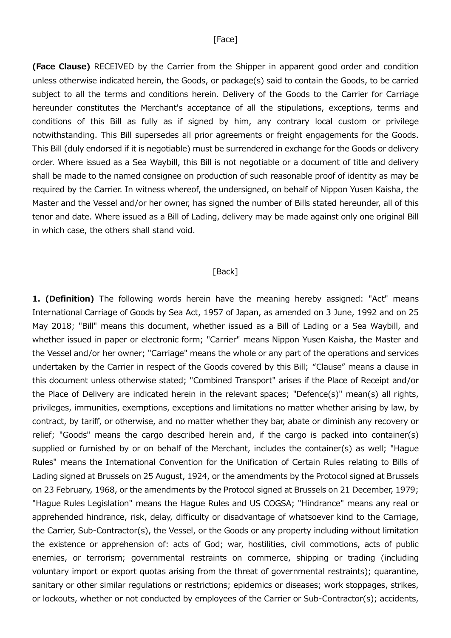## [Face]

(Face Clause) RECEIVED by the Carrier from the Shipper in apparent good order and condition unless otherwise indicated herein, the Goods, or package(s) said to contain the Goods, to be carried subject to all the terms and conditions herein. Delivery of the Goods to the Carrier for Carriage hereunder constitutes the Merchant's acceptance of all the stipulations, exceptions, terms and conditions of this Bill as fully as if signed by him, any contrary local custom or privilege notwithstanding. This Bill supersedes all prior agreements or freight engagements for the Goods. This Bill (duly endorsed if it is negotiable) must be surrendered in exchange for the Goods or delivery order. Where issued as a Sea Waybill, this Bill is not negotiable or a document of title and delivery shall be made to the named consignee on production of such reasonable proof of identity as may be required by the Carrier. In witness whereof, the undersigned, on behalf of Nippon Yusen Kaisha, the Master and the Vessel and/or her owner, has signed the number of Bills stated hereunder, all of this tenor and date. Where issued as a Bill of Lading, delivery may be made against only one original Bill in which case, the others shall stand void.

## [Back]

1. (Definition) The following words herein have the meaning hereby assigned: "Act" means International Carriage of Goods by Sea Act, 1957 of Japan, as amended on 3 June, 1992 and on 25 May 2018; "Bill" means this document, whether issued as a Bill of Lading or a Sea Waybill, and whether issued in paper or electronic form; "Carrier" means Nippon Yusen Kaisha, the Master and the Vessel and/or her owner; "Carriage" means the whole or any part of the operations and services undertaken by the Carrier in respect of the Goods covered by this Bill; "Clause" means a clause in this document unless otherwise stated; "Combined Transport" arises if the Place of Receipt and/or the Place of Delivery are indicated herein in the relevant spaces; "Defence(s)" mean(s) all rights, privileges, immunities, exemptions, exceptions and limitations no matter whether arising by law, by contract, by tariff, or otherwise, and no matter whether they bar, abate or diminish any recovery or relief; "Goods" means the cargo described herein and, if the cargo is packed into container(s) supplied or furnished by or on behalf of the Merchant, includes the container(s) as well; "Hague Rules" means the International Convention for the Unification of Certain Rules relating to Bills of Lading signed at Brussels on 25 August, 1924, or the amendments by the Protocol signed at Brussels on 23 February, 1968, or the amendments by the Protocol signed at Brussels on 21 December, 1979; "Hague Rules Legislation" means the Hague Rules and US COGSA; "Hindrance" means any real or apprehended hindrance, risk, delay, difficulty or disadvantage of whatsoever kind to the Carriage, the Carrier, Sub-Contractor(s), the Vessel, or the Goods or any property including without limitation the existence or apprehension of: acts of God; war, hostilities, civil commotions, acts of public enemies, or terrorism; governmental restraints on commerce, shipping or trading (including voluntary import or export quotas arising from the threat of governmental restraints); quarantine, sanitary or other similar regulations or restrictions; epidemics or diseases; work stoppages, strikes, or lockouts, whether or not conducted by employees of the Carrier or Sub-Contractor(s); accidents,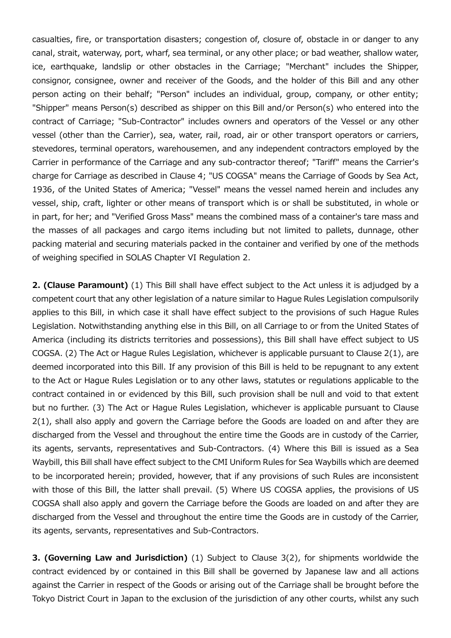casualties, fire, or transportation disasters; congestion of, closure of, obstacle in or danger to any canal, strait, waterway, port, wharf, sea terminal, or any other place; or bad weather, shallow water, ice, earthquake, landslip or other obstacles in the Carriage; "Merchant" includes the Shipper, consignor, consignee, owner and receiver of the Goods, and the holder of this Bill and any other person acting on their behalf; "Person" includes an individual, group, company, or other entity; "Shipper" means Person(s) described as shipper on this Bill and/or Person(s) who entered into the contract of Carriage; "Sub-Contractor" includes owners and operators of the Vessel or any other vessel (other than the Carrier), sea, water, rail, road, air or other transport operators or carriers, stevedores, terminal operators, warehousemen, and any independent contractors employed by the Carrier in performance of the Carriage and any sub-contractor thereof; "Tariff" means the Carrier's charge for Carriage as described in Clause 4; "US COGSA" means the Carriage of Goods by Sea Act, 1936, of the United States of America; "Vessel" means the vessel named herein and includes any vessel, ship, craft, lighter or other means of transport which is or shall be substituted, in whole or in part, for her; and "Verified Gross Mass" means the combined mass of a container's tare mass and the masses of all packages and cargo items including but not limited to pallets, dunnage, other packing material and securing materials packed in the container and verified by one of the methods of weighing specified in SOLAS Chapter VI Regulation 2.

2. (Clause Paramount) (1) This Bill shall have effect subject to the Act unless it is adjudged by a competent court that any other legislation of a nature similar to Hague Rules Legislation compulsorily applies to this Bill, in which case it shall have effect subject to the provisions of such Hague Rules Legislation. Notwithstanding anything else in this Bill, on all Carriage to or from the United States of America (including its districts territories and possessions), this Bill shall have effect subject to US COGSA. (2) The Act or Hague Rules Legislation, whichever is applicable pursuant to Clause 2(1), are deemed incorporated into this Bill. If any provision of this Bill is held to be repugnant to any extent to the Act or Hague Rules Legislation or to any other laws, statutes or regulations applicable to the contract contained in or evidenced by this Bill, such provision shall be null and void to that extent but no further. (3) The Act or Hague Rules Legislation, whichever is applicable pursuant to Clause 2(1), shall also apply and govern the Carriage before the Goods are loaded on and after they are discharged from the Vessel and throughout the entire time the Goods are in custody of the Carrier, its agents, servants, representatives and Sub-Contractors. (4) Where this Bill is issued as a Sea Waybill, this Bill shall have effect subject to the CMI Uniform Rules for Sea Waybills which are deemed to be incorporated herein; provided, however, that if any provisions of such Rules are inconsistent with those of this Bill, the latter shall prevail. (5) Where US COGSA applies, the provisions of US COGSA shall also apply and govern the Carriage before the Goods are loaded on and after they are discharged from the Vessel and throughout the entire time the Goods are in custody of the Carrier, its agents, servants, representatives and Sub-Contractors.

3. (Governing Law and Jurisdiction) (1) Subject to Clause 3(2), for shipments worldwide the contract evidenced by or contained in this Bill shall be governed by Japanese law and all actions against the Carrier in respect of the Goods or arising out of the Carriage shall be brought before the Tokyo District Court in Japan to the exclusion of the jurisdiction of any other courts, whilst any such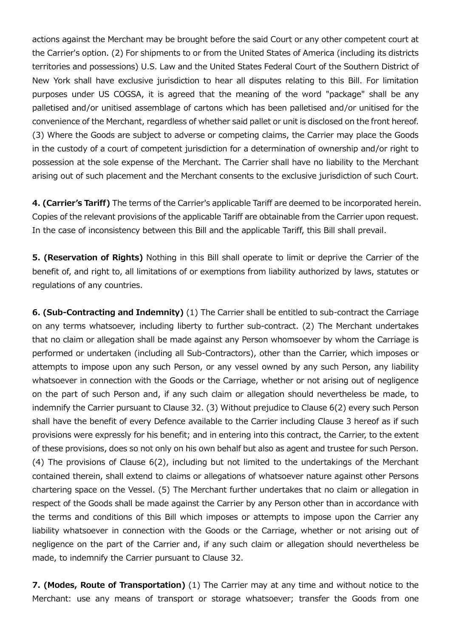actions against the Merchant may be brought before the said Court or any other competent court at the Carrier's option. (2) For shipments to or from the United States of America (including its districts territories and possessions) U.S. Law and the United States Federal Court of the Southern District of New York shall have exclusive jurisdiction to hear all disputes relating to this Bill. For limitation purposes under US COGSA, it is agreed that the meaning of the word "package" shall be any palletised and/or unitised assemblage of cartons which has been palletised and/or unitised for the convenience of the Merchant, regardless of whether said pallet or unit is disclosed on the front hereof. (3) Where the Goods are subject to adverse or competing claims, the Carrier may place the Goods in the custody of a court of competent jurisdiction for a determination of ownership and/or right to possession at the sole expense of the Merchant. The Carrier shall have no liability to the Merchant arising out of such placement and the Merchant consents to the exclusive jurisdiction of such Court.

4. (Carrier's Tariff) The terms of the Carrier's applicable Tariff are deemed to be incorporated herein. Copies of the relevant provisions of the applicable Tariff are obtainable from the Carrier upon request. In the case of inconsistency between this Bill and the applicable Tariff, this Bill shall prevail.

5. (Reservation of Rights) Nothing in this Bill shall operate to limit or deprive the Carrier of the benefit of, and right to, all limitations of or exemptions from liability authorized by laws, statutes or regulations of any countries.

6. (Sub-Contracting and Indemnity) (1) The Carrier shall be entitled to sub-contract the Carriage on any terms whatsoever, including liberty to further sub-contract. (2) The Merchant undertakes that no claim or allegation shall be made against any Person whomsoever by whom the Carriage is performed or undertaken (including all Sub-Contractors), other than the Carrier, which imposes or attempts to impose upon any such Person, or any vessel owned by any such Person, any liability whatsoever in connection with the Goods or the Carriage, whether or not arising out of negligence on the part of such Person and, if any such claim or allegation should nevertheless be made, to indemnify the Carrier pursuant to Clause 32. (3) Without prejudice to Clause 6(2) every such Person shall have the benefit of every Defence available to the Carrier including Clause 3 hereof as if such provisions were expressly for his benefit; and in entering into this contract, the Carrier, to the extent of these provisions, does so not only on his own behalf but also as agent and trustee for such Person. (4) The provisions of Clause 6(2), including but not limited to the undertakings of the Merchant contained therein, shall extend to claims or allegations of whatsoever nature against other Persons chartering space on the Vessel. (5) The Merchant further undertakes that no claim or allegation in respect of the Goods shall be made against the Carrier by any Person other than in accordance with the terms and conditions of this Bill which imposes or attempts to impose upon the Carrier any liability whatsoever in connection with the Goods or the Carriage, whether or not arising out of negligence on the part of the Carrier and, if any such claim or allegation should nevertheless be made, to indemnify the Carrier pursuant to Clause 32.

7. (Modes, Route of Transportation) (1) The Carrier may at any time and without notice to the Merchant: use any means of transport or storage whatsoever; transfer the Goods from one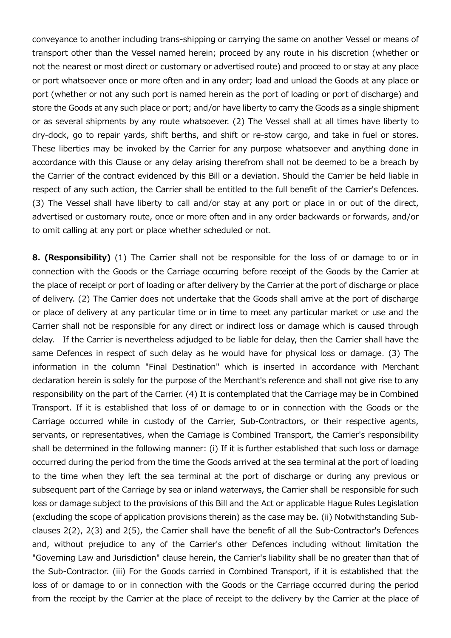conveyance to another including trans-shipping or carrying the same on another Vessel or means of transport other than the Vessel named herein; proceed by any route in his discretion (whether or not the nearest or most direct or customary or advertised route) and proceed to or stay at any place or port whatsoever once or more often and in any order; load and unload the Goods at any place or port (whether or not any such port is named herein as the port of loading or port of discharge) and store the Goods at any such place or port; and/or have liberty to carry the Goods as a single shipment or as several shipments by any route whatsoever. (2) The Vessel shall at all times have liberty to dry-dock, go to repair yards, shift berths, and shift or re-stow cargo, and take in fuel or stores. These liberties may be invoked by the Carrier for any purpose whatsoever and anything done in accordance with this Clause or any delay arising therefrom shall not be deemed to be a breach by the Carrier of the contract evidenced by this Bill or a deviation. Should the Carrier be held liable in respect of any such action, the Carrier shall be entitled to the full benefit of the Carrier's Defences. (3) The Vessel shall have liberty to call and/or stay at any port or place in or out of the direct, advertised or customary route, once or more often and in any order backwards or forwards, and/or to omit calling at any port or place whether scheduled or not.

8. (Responsibility) (1) The Carrier shall not be responsible for the loss of or damage to or in connection with the Goods or the Carriage occurring before receipt of the Goods by the Carrier at the place of receipt or port of loading or after delivery by the Carrier at the port of discharge or place of delivery. (2) The Carrier does not undertake that the Goods shall arrive at the port of discharge or place of delivery at any particular time or in time to meet any particular market or use and the Carrier shall not be responsible for any direct or indirect loss or damage which is caused through delay. If the Carrier is nevertheless adjudged to be liable for delay, then the Carrier shall have the same Defences in respect of such delay as he would have for physical loss or damage. (3) The information in the column "Final Destination" which is inserted in accordance with Merchant declaration herein is solely for the purpose of the Merchant's reference and shall not give rise to any responsibility on the part of the Carrier. (4) It is contemplated that the Carriage may be in Combined Transport. If it is established that loss of or damage to or in connection with the Goods or the Carriage occurred while in custody of the Carrier, Sub-Contractors, or their respective agents, servants, or representatives, when the Carriage is Combined Transport, the Carrier's responsibility shall be determined in the following manner: (i) If it is further established that such loss or damage occurred during the period from the time the Goods arrived at the sea terminal at the port of loading to the time when they left the sea terminal at the port of discharge or during any previous or subsequent part of the Carriage by sea or inland waterways, the Carrier shall be responsible for such loss or damage subject to the provisions of this Bill and the Act or applicable Hague Rules Legislation (excluding the scope of application provisions therein) as the case may be. (ii) Notwithstanding Subclauses 2(2), 2(3) and 2(5), the Carrier shall have the benefit of all the Sub-Contractor's Defences and, without prejudice to any of the Carrier's other Defences including without limitation the "Governing Law and Jurisdiction" clause herein, the Carrier's liability shall be no greater than that of the Sub-Contractor. (iii) For the Goods carried in Combined Transport, if it is established that the loss of or damage to or in connection with the Goods or the Carriage occurred during the period from the receipt by the Carrier at the place of receipt to the delivery by the Carrier at the place of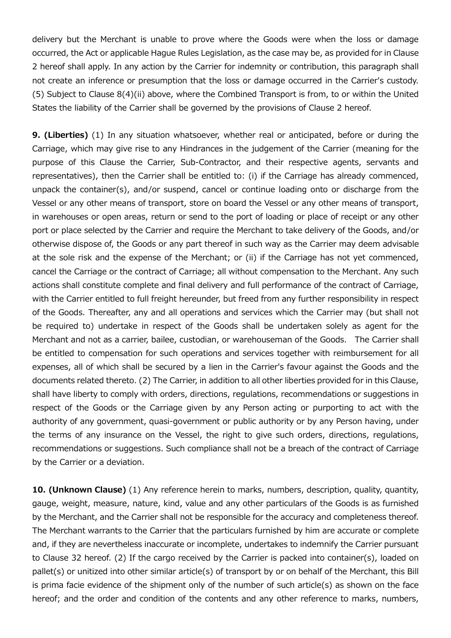delivery but the Merchant is unable to prove where the Goods were when the loss or damage occurred, the Act or applicable Hague Rules Legislation, as the case may be, as provided for in Clause 2 hereof shall apply. In any action by the Carrier for indemnity or contribution, this paragraph shall not create an inference or presumption that the loss or damage occurred in the Carrier's custody. (5) Subject to Clause 8(4)(ii) above, where the Combined Transport is from, to or within the United States the liability of the Carrier shall be governed by the provisions of Clause 2 hereof.

9. (Liberties) (1) In any situation whatsoever, whether real or anticipated, before or during the Carriage, which may give rise to any Hindrances in the judgement of the Carrier (meaning for the purpose of this Clause the Carrier, Sub-Contractor, and their respective agents, servants and representatives), then the Carrier shall be entitled to: (i) if the Carriage has already commenced, unpack the container(s), and/or suspend, cancel or continue loading onto or discharge from the Vessel or any other means of transport, store on board the Vessel or any other means of transport, in warehouses or open areas, return or send to the port of loading or place of receipt or any other port or place selected by the Carrier and require the Merchant to take delivery of the Goods, and/or otherwise dispose of, the Goods or any part thereof in such way as the Carrier may deem advisable at the sole risk and the expense of the Merchant; or (ii) if the Carriage has not yet commenced, cancel the Carriage or the contract of Carriage; all without compensation to the Merchant. Any such actions shall constitute complete and final delivery and full performance of the contract of Carriage, with the Carrier entitled to full freight hereunder, but freed from any further responsibility in respect of the Goods. Thereafter, any and all operations and services which the Carrier may (but shall not be required to) undertake in respect of the Goods shall be undertaken solely as agent for the Merchant and not as a carrier, bailee, custodian, or warehouseman of the Goods. The Carrier shall be entitled to compensation for such operations and services together with reimbursement for all expenses, all of which shall be secured by a lien in the Carrier's favour against the Goods and the documents related thereto. (2) The Carrier, in addition to all other liberties provided for in this Clause, shall have liberty to comply with orders, directions, regulations, recommendations or suggestions in respect of the Goods or the Carriage given by any Person acting or purporting to act with the authority of any government, quasi-government or public authority or by any Person having, under the terms of any insurance on the Vessel, the right to give such orders, directions, regulations, recommendations or suggestions. Such compliance shall not be a breach of the contract of Carriage by the Carrier or a deviation.

10. (Unknown Clause) (1) Any reference herein to marks, numbers, description, quality, quantity, gauge, weight, measure, nature, kind, value and any other particulars of the Goods is as furnished by the Merchant, and the Carrier shall not be responsible for the accuracy and completeness thereof. The Merchant warrants to the Carrier that the particulars furnished by him are accurate or complete and, if they are nevertheless inaccurate or incomplete, undertakes to indemnify the Carrier pursuant to Clause 32 hereof. (2) If the cargo received by the Carrier is packed into container(s), loaded on pallet(s) or unitized into other similar article(s) of transport by or on behalf of the Merchant, this Bill is prima facie evidence of the shipment only of the number of such article(s) as shown on the face hereof; and the order and condition of the contents and any other reference to marks, numbers,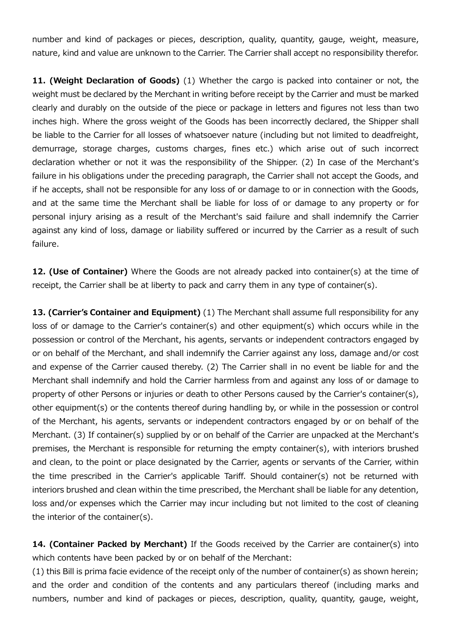number and kind of packages or pieces, description, quality, quantity, gauge, weight, measure, nature, kind and value are unknown to the Carrier. The Carrier shall accept no responsibility therefor.

11. (Weight Declaration of Goods) (1) Whether the cargo is packed into container or not, the weight must be declared by the Merchant in writing before receipt by the Carrier and must be marked clearly and durably on the outside of the piece or package in letters and figures not less than two inches high. Where the gross weight of the Goods has been incorrectly declared, the Shipper shall be liable to the Carrier for all losses of whatsoever nature (including but not limited to deadfreight, demurrage, storage charges, customs charges, fines etc.) which arise out of such incorrect declaration whether or not it was the responsibility of the Shipper. (2) In case of the Merchant's failure in his obligations under the preceding paragraph, the Carrier shall not accept the Goods, and if he accepts, shall not be responsible for any loss of or damage to or in connection with the Goods, and at the same time the Merchant shall be liable for loss of or damage to any property or for personal injury arising as a result of the Merchant's said failure and shall indemnify the Carrier against any kind of loss, damage or liability suffered or incurred by the Carrier as a result of such failure.

12. (Use of Container) Where the Goods are not already packed into container(s) at the time of receipt, the Carrier shall be at liberty to pack and carry them in any type of container(s).

13. (Carrier's Container and Equipment) (1) The Merchant shall assume full responsibility for any loss of or damage to the Carrier's container(s) and other equipment(s) which occurs while in the possession or control of the Merchant, his agents, servants or independent contractors engaged by or on behalf of the Merchant, and shall indemnify the Carrier against any loss, damage and/or cost and expense of the Carrier caused thereby. (2) The Carrier shall in no event be liable for and the Merchant shall indemnify and hold the Carrier harmless from and against any loss of or damage to property of other Persons or injuries or death to other Persons caused by the Carrier's container(s), other equipment(s) or the contents thereof during handling by, or while in the possession or control of the Merchant, his agents, servants or independent contractors engaged by or on behalf of the Merchant. (3) If container(s) supplied by or on behalf of the Carrier are unpacked at the Merchant's premises, the Merchant is responsible for returning the empty container(s), with interiors brushed and clean, to the point or place designated by the Carrier, agents or servants of the Carrier, within the time prescribed in the Carrier's applicable Tariff. Should container(s) not be returned with interiors brushed and clean within the time prescribed, the Merchant shall be liable for any detention, loss and/or expenses which the Carrier may incur including but not limited to the cost of cleaning the interior of the container(s).

14. (Container Packed by Merchant) If the Goods received by the Carrier are container(s) into which contents have been packed by or on behalf of the Merchant:

(1) this Bill is prima facie evidence of the receipt only of the number of container(s) as shown herein; and the order and condition of the contents and any particulars thereof (including marks and numbers, number and kind of packages or pieces, description, quality, quantity, gauge, weight,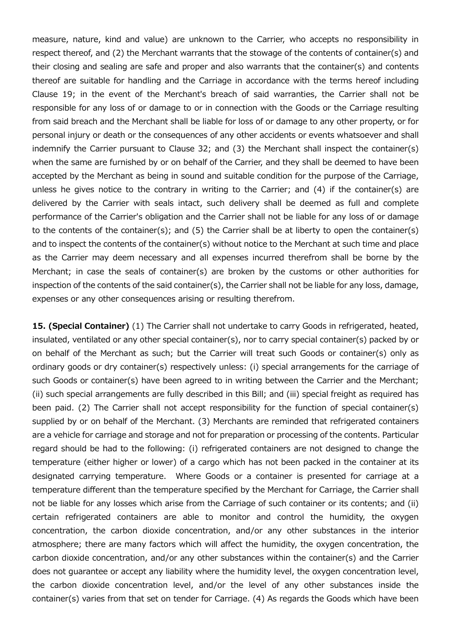measure, nature, kind and value) are unknown to the Carrier, who accepts no responsibility in respect thereof, and (2) the Merchant warrants that the stowage of the contents of container(s) and their closing and sealing are safe and proper and also warrants that the container(s) and contents thereof are suitable for handling and the Carriage in accordance with the terms hereof including Clause 19; in the event of the Merchant's breach of said warranties, the Carrier shall not be responsible for any loss of or damage to or in connection with the Goods or the Carriage resulting from said breach and the Merchant shall be liable for loss of or damage to any other property, or for personal injury or death or the consequences of any other accidents or events whatsoever and shall indemnify the Carrier pursuant to Clause 32; and (3) the Merchant shall inspect the container(s) when the same are furnished by or on behalf of the Carrier, and they shall be deemed to have been accepted by the Merchant as being in sound and suitable condition for the purpose of the Carriage, unless he gives notice to the contrary in writing to the Carrier; and (4) if the container(s) are delivered by the Carrier with seals intact, such delivery shall be deemed as full and complete performance of the Carrier's obligation and the Carrier shall not be liable for any loss of or damage to the contents of the container(s); and (5) the Carrier shall be at liberty to open the container(s) and to inspect the contents of the container(s) without notice to the Merchant at such time and place as the Carrier may deem necessary and all expenses incurred therefrom shall be borne by the Merchant; in case the seals of container(s) are broken by the customs or other authorities for inspection of the contents of the said container(s), the Carrier shall not be liable for any loss, damage, expenses or any other consequences arising or resulting therefrom.

15. (Special Container) (1) The Carrier shall not undertake to carry Goods in refrigerated, heated, insulated, ventilated or any other special container(s), nor to carry special container(s) packed by or on behalf of the Merchant as such; but the Carrier will treat such Goods or container(s) only as ordinary goods or dry container(s) respectively unless: (i) special arrangements for the carriage of such Goods or container(s) have been agreed to in writing between the Carrier and the Merchant; (ii) such special arrangements are fully described in this Bill; and (iii) special freight as required has been paid. (2) The Carrier shall not accept responsibility for the function of special container(s) supplied by or on behalf of the Merchant. (3) Merchants are reminded that refrigerated containers are a vehicle for carriage and storage and not for preparation or processing of the contents. Particular regard should be had to the following: (i) refrigerated containers are not designed to change the temperature (either higher or lower) of a cargo which has not been packed in the container at its designated carrying temperature. Where Goods or a container is presented for carriage at a temperature different than the temperature specified by the Merchant for Carriage, the Carrier shall not be liable for any losses which arise from the Carriage of such container or its contents; and (ii) certain refrigerated containers are able to monitor and control the humidity, the oxygen concentration, the carbon dioxide concentration, and/or any other substances in the interior atmosphere; there are many factors which will affect the humidity, the oxygen concentration, the carbon dioxide concentration, and/or any other substances within the container(s) and the Carrier does not guarantee or accept any liability where the humidity level, the oxygen concentration level, the carbon dioxide concentration level, and/or the level of any other substances inside the container(s) varies from that set on tender for Carriage. (4) As regards the Goods which have been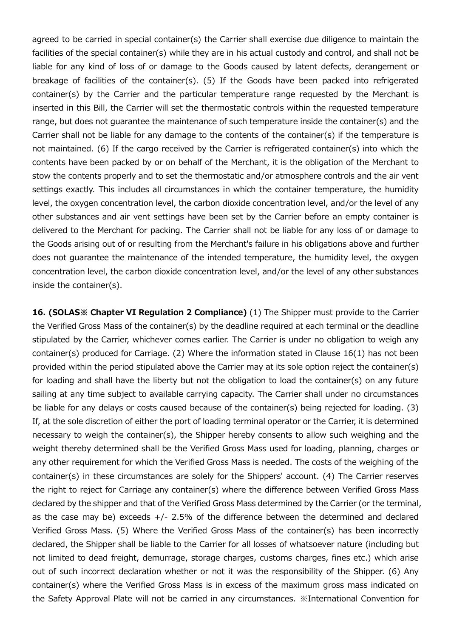agreed to be carried in special container(s) the Carrier shall exercise due diligence to maintain the facilities of the special container(s) while they are in his actual custody and control, and shall not be liable for any kind of loss of or damage to the Goods caused by latent defects, derangement or breakage of facilities of the container(s). (5) If the Goods have been packed into refrigerated container(s) by the Carrier and the particular temperature range requested by the Merchant is inserted in this Bill, the Carrier will set the thermostatic controls within the requested temperature range, but does not guarantee the maintenance of such temperature inside the container(s) and the Carrier shall not be liable for any damage to the contents of the container(s) if the temperature is not maintained. (6) If the cargo received by the Carrier is refrigerated container(s) into which the contents have been packed by or on behalf of the Merchant, it is the obligation of the Merchant to stow the contents properly and to set the thermostatic and/or atmosphere controls and the air vent settings exactly. This includes all circumstances in which the container temperature, the humidity level, the oxygen concentration level, the carbon dioxide concentration level, and/or the level of any other substances and air vent settings have been set by the Carrier before an empty container is delivered to the Merchant for packing. The Carrier shall not be liable for any loss of or damage to the Goods arising out of or resulting from the Merchant's failure in his obligations above and further does not guarantee the maintenance of the intended temperature, the humidity level, the oxygen concentration level, the carbon dioxide concentration level, and/or the level of any other substances inside the container(s).

16. (SOLAS<sup>Ing</sup> Chapter VI Requiation 2 Compliance) (1) The Shipper must provide to the Carrier the Verified Gross Mass of the container(s) by the deadline required at each terminal or the deadline stipulated by the Carrier, whichever comes earlier. The Carrier is under no obligation to weigh any container(s) produced for Carriage. (2) Where the information stated in Clause 16(1) has not been provided within the period stipulated above the Carrier may at its sole option reject the container(s) for loading and shall have the liberty but not the obligation to load the container(s) on any future sailing at any time subject to available carrying capacity. The Carrier shall under no circumstances be liable for any delays or costs caused because of the container(s) being rejected for loading. (3) If, at the sole discretion of either the port of loading terminal operator or the Carrier, it is determined necessary to weigh the container(s), the Shipper hereby consents to allow such weighing and the weight thereby determined shall be the Verified Gross Mass used for loading, planning, charges or any other requirement for which the Verified Gross Mass is needed. The costs of the weighing of the container(s) in these circumstances are solely for the Shippers' account. (4) The Carrier reserves the right to reject for Carriage any container(s) where the difference between Verified Gross Mass declared by the shipper and that of the Verified Gross Mass determined by the Carrier (or the terminal, as the case may be) exceeds  $+/- 2.5\%$  of the difference between the determined and declared Verified Gross Mass. (5) Where the Verified Gross Mass of the container(s) has been incorrectly declared, the Shipper shall be liable to the Carrier for all losses of whatsoever nature (including but not limited to dead freight, demurrage, storage charges, customs charges, fines etc.) which arise out of such incorrect declaration whether or not it was the responsibility of the Shipper. (6) Any container(s) where the Verified Gross Mass is in excess of the maximum gross mass indicated on the Safety Approval Plate will not be carried in any circumstances. ※International Convention for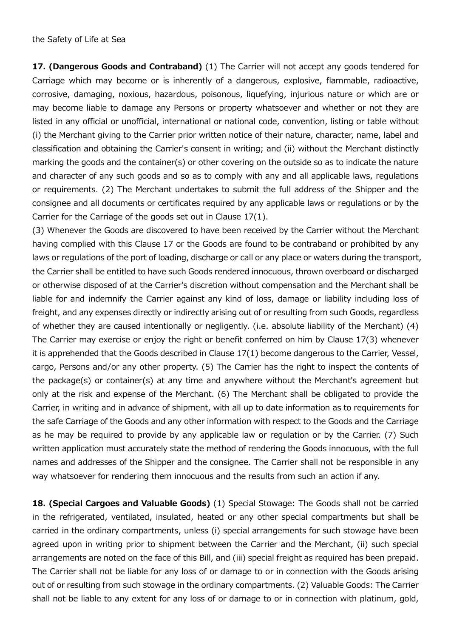the Safety of Life at Sea

17. (Dangerous Goods and Contraband) (1) The Carrier will not accept any goods tendered for Carriage which may become or is inherently of a dangerous, explosive, flammable, radioactive, corrosive, damaging, noxious, hazardous, poisonous, liquefying, injurious nature or which are or may become liable to damage any Persons or property whatsoever and whether or not they are listed in any official or unofficial, international or national code, convention, listing or table without (i) the Merchant giving to the Carrier prior written notice of their nature, character, name, label and classification and obtaining the Carrier's consent in writing; and (ii) without the Merchant distinctly marking the goods and the container(s) or other covering on the outside so as to indicate the nature and character of any such goods and so as to comply with any and all applicable laws, regulations or requirements. (2) The Merchant undertakes to submit the full address of the Shipper and the consignee and all documents or certificates required by any applicable laws or regulations or by the Carrier for the Carriage of the goods set out in Clause 17(1).

(3) Whenever the Goods are discovered to have been received by the Carrier without the Merchant having complied with this Clause 17 or the Goods are found to be contraband or prohibited by any laws or regulations of the port of loading, discharge or call or any place or waters during the transport, the Carrier shall be entitled to have such Goods rendered innocuous, thrown overboard or discharged or otherwise disposed of at the Carrier's discretion without compensation and the Merchant shall be liable for and indemnify the Carrier against any kind of loss, damage or liability including loss of freight, and any expenses directly or indirectly arising out of or resulting from such Goods, regardless of whether they are caused intentionally or negligently. (i.e. absolute liability of the Merchant) (4) The Carrier may exercise or enjoy the right or benefit conferred on him by Clause 17(3) whenever it is apprehended that the Goods described in Clause 17(1) become dangerous to the Carrier, Vessel, cargo, Persons and/or any other property. (5) The Carrier has the right to inspect the contents of the package(s) or container(s) at any time and anywhere without the Merchant's agreement but only at the risk and expense of the Merchant. (6) The Merchant shall be obligated to provide the Carrier, in writing and in advance of shipment, with all up to date information as to requirements for the safe Carriage of the Goods and any other information with respect to the Goods and the Carriage as he may be required to provide by any applicable law or regulation or by the Carrier. (7) Such written application must accurately state the method of rendering the Goods innocuous, with the full names and addresses of the Shipper and the consignee. The Carrier shall not be responsible in any way whatsoever for rendering them innocuous and the results from such an action if any.

18. (Special Cargoes and Valuable Goods) (1) Special Stowage: The Goods shall not be carried in the refrigerated, ventilated, insulated, heated or any other special compartments but shall be carried in the ordinary compartments, unless (i) special arrangements for such stowage have been agreed upon in writing prior to shipment between the Carrier and the Merchant, (ii) such special arrangements are noted on the face of this Bill, and (iii) special freight as required has been prepaid. The Carrier shall not be liable for any loss of or damage to or in connection with the Goods arising out of or resulting from such stowage in the ordinary compartments. (2) Valuable Goods: The Carrier shall not be liable to any extent for any loss of or damage to or in connection with platinum, gold,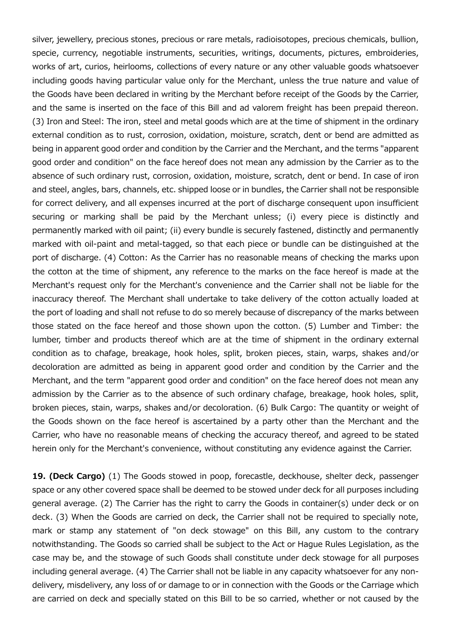silver, jewellery, precious stones, precious or rare metals, radioisotopes, precious chemicals, bullion, specie, currency, negotiable instruments, securities, writings, documents, pictures, embroideries, works of art, curios, heirlooms, collections of every nature or any other valuable goods whatsoever including goods having particular value only for the Merchant, unless the true nature and value of the Goods have been declared in writing by the Merchant before receipt of the Goods by the Carrier, and the same is inserted on the face of this Bill and ad valorem freight has been prepaid thereon. (3) Iron and Steel: The iron, steel and metal goods which are at the time of shipment in the ordinary external condition as to rust, corrosion, oxidation, moisture, scratch, dent or bend are admitted as being in apparent good order and condition by the Carrier and the Merchant, and the terms "apparent good order and condition" on the face hereof does not mean any admission by the Carrier as to the absence of such ordinary rust, corrosion, oxidation, moisture, scratch, dent or bend. In case of iron and steel, angles, bars, channels, etc. shipped loose or in bundles, the Carrier shall not be responsible for correct delivery, and all expenses incurred at the port of discharge consequent upon insufficient securing or marking shall be paid by the Merchant unless; (i) every piece is distinctly and permanently marked with oil paint; (ii) every bundle is securely fastened, distinctly and permanently marked with oil-paint and metal-tagged, so that each piece or bundle can be distinguished at the port of discharge. (4) Cotton: As the Carrier has no reasonable means of checking the marks upon the cotton at the time of shipment, any reference to the marks on the face hereof is made at the Merchant's request only for the Merchant's convenience and the Carrier shall not be liable for the inaccuracy thereof. The Merchant shall undertake to take delivery of the cotton actually loaded at the port of loading and shall not refuse to do so merely because of discrepancy of the marks between those stated on the face hereof and those shown upon the cotton. (5) Lumber and Timber: the lumber, timber and products thereof which are at the time of shipment in the ordinary external condition as to chafage, breakage, hook holes, split, broken pieces, stain, warps, shakes and/or decoloration are admitted as being in apparent good order and condition by the Carrier and the Merchant, and the term "apparent good order and condition" on the face hereof does not mean any admission by the Carrier as to the absence of such ordinary chafage, breakage, hook holes, split, broken pieces, stain, warps, shakes and/or decoloration. (6) Bulk Cargo: The quantity or weight of the Goods shown on the face hereof is ascertained by a party other than the Merchant and the Carrier, who have no reasonable means of checking the accuracy thereof, and agreed to be stated herein only for the Merchant's convenience, without constituting any evidence against the Carrier.

19. (Deck Cargo) (1) The Goods stowed in poop, forecastle, deckhouse, shelter deck, passenger space or any other covered space shall be deemed to be stowed under deck for all purposes including general average. (2) The Carrier has the right to carry the Goods in container(s) under deck or on deck. (3) When the Goods are carried on deck, the Carrier shall not be required to specially note, mark or stamp any statement of "on deck stowage" on this Bill, any custom to the contrary notwithstanding. The Goods so carried shall be subject to the Act or Hague Rules Legislation, as the case may be, and the stowage of such Goods shall constitute under deck stowage for all purposes including general average. (4) The Carrier shall not be liable in any capacity whatsoever for any nondelivery, misdelivery, any loss of or damage to or in connection with the Goods or the Carriage which are carried on deck and specially stated on this Bill to be so carried, whether or not caused by the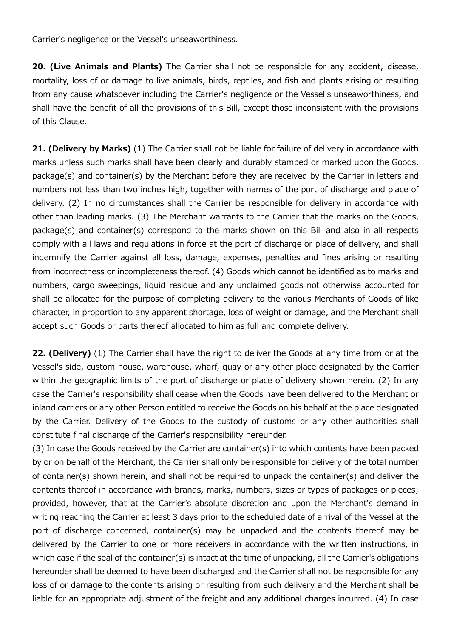Carrier's negligence or the Vessel's unseaworthiness.

20. (Live Animals and Plants) The Carrier shall not be responsible for any accident, disease, mortality, loss of or damage to live animals, birds, reptiles, and fish and plants arising or resulting from any cause whatsoever including the Carrier's negligence or the Vessel's unseaworthiness, and shall have the benefit of all the provisions of this Bill, except those inconsistent with the provisions of this Clause.

21. (Delivery by Marks) (1) The Carrier shall not be liable for failure of delivery in accordance with marks unless such marks shall have been clearly and durably stamped or marked upon the Goods, package(s) and container(s) by the Merchant before they are received by the Carrier in letters and numbers not less than two inches high, together with names of the port of discharge and place of delivery. (2) In no circumstances shall the Carrier be responsible for delivery in accordance with other than leading marks. (3) The Merchant warrants to the Carrier that the marks on the Goods, package(s) and container(s) correspond to the marks shown on this Bill and also in all respects comply with all laws and regulations in force at the port of discharge or place of delivery, and shall indemnify the Carrier against all loss, damage, expenses, penalties and fines arising or resulting from incorrectness or incompleteness thereof. (4) Goods which cannot be identified as to marks and numbers, cargo sweepings, liquid residue and any unclaimed goods not otherwise accounted for shall be allocated for the purpose of completing delivery to the various Merchants of Goods of like character, in proportion to any apparent shortage, loss of weight or damage, and the Merchant shall accept such Goods or parts thereof allocated to him as full and complete delivery.

22. (Delivery) (1) The Carrier shall have the right to deliver the Goods at any time from or at the Vessel's side, custom house, warehouse, wharf, quay or any other place designated by the Carrier within the geographic limits of the port of discharge or place of delivery shown herein. (2) In any case the Carrier's responsibility shall cease when the Goods have been delivered to the Merchant or inland carriers or any other Person entitled to receive the Goods on his behalf at the place designated by the Carrier. Delivery of the Goods to the custody of customs or any other authorities shall constitute final discharge of the Carrier's responsibility hereunder.

(3) In case the Goods received by the Carrier are container(s) into which contents have been packed by or on behalf of the Merchant, the Carrier shall only be responsible for delivery of the total number of container(s) shown herein, and shall not be required to unpack the container(s) and deliver the contents thereof in accordance with brands, marks, numbers, sizes or types of packages or pieces; provided, however, that at the Carrier's absolute discretion and upon the Merchant's demand in writing reaching the Carrier at least 3 days prior to the scheduled date of arrival of the Vessel at the port of discharge concerned, container(s) may be unpacked and the contents thereof may be delivered by the Carrier to one or more receivers in accordance with the written instructions, in which case if the seal of the container(s) is intact at the time of unpacking, all the Carrier's obligations hereunder shall be deemed to have been discharged and the Carrier shall not be responsible for any loss of or damage to the contents arising or resulting from such delivery and the Merchant shall be liable for an appropriate adjustment of the freight and any additional charges incurred. (4) In case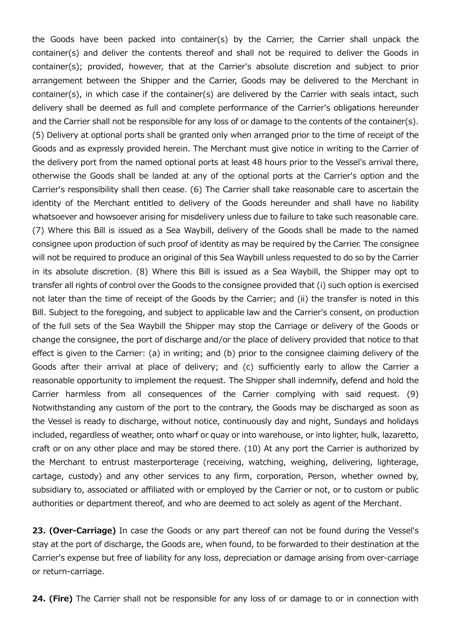the Goods have been packed into container(s) by the Carrier, the Carrier shall unpack the container(s) and deliver the contents thereof and shall not be required to deliver the Goods in container(s); provided, however, that at the Carrier's absolute discretion and subject to prior arrangement between the Shipper and the Carrier, Goods may be delivered to the Merchant in container(s), in which case if the container(s) are delivered by the Carrier with seals intact, such delivery shall be deemed as full and complete performance of the Carrier's obligations hereunder and the Carrier shall not be responsible for any loss of or damage to the contents of the container(s). (5) Delivery at optional ports shall be granted only when arranged prior to the time of receipt of the Goods and as expressly provided herein. The Merchant must give notice in writing to the Carrier of the delivery port from the named optional ports at least 48 hours prior to the Vessel's arrival there, otherwise the Goods shall be landed at any of the optional ports at the Carrier's option and the Carrier's responsibility shall then cease. (6) The Carrier shall take reasonable care to ascertain the identity of the Merchant entitled to delivery of the Goods hereunder and shall have no liability whatsoever and howsoever arising for misdelivery unless due to failure to take such reasonable care. (7) Where this Bill is issued as a Sea Waybill, delivery of the Goods shall be made to the named consignee upon production of such proof of identity as may be required by the Carrier. The consignee will not be required to produce an original of this Sea Waybill unless requested to do so by the Carrier in its absolute discretion. (8) Where this Bill is issued as a Sea Waybill, the Shipper may opt to transfer all rights of control over the Goods to the consignee provided that (i) such option is exercised not later than the time of receipt of the Goods by the Carrier; and (ii) the transfer is noted in this Bill. Subject to the foregoing, and subject to applicable law and the Carrier's consent, on production of the full sets of the Sea Waybill the Shipper may stop the Carriage or delivery of the Goods or change the consignee, the port of discharge and/or the place of delivery provided that notice to that effect is given to the Carrier: (a) in writing; and (b) prior to the consignee claiming delivery of the Goods after their arrival at place of delivery; and (c) sufficiently early to allow the Carrier a reasonable opportunity to implement the request. The Shipper shall indemnify, defend and hold the Carrier harmless from all consequences of the Carrier complying with said request. (9) Notwithstanding any custom of the port to the contrary, the Goods may be discharged as soon as the Vessel is ready to discharge, without notice, continuously day and night, Sundays and holidays included, regardless of weather, onto wharf or quay or into warehouse, or into lighter, hulk, lazaretto, craft or on any other place and may be stored there. (10) At any port the Carrier is authorized by the Merchant to entrust masterporterage (receiving, watching, weighing, delivering, lighterage, cartage, custody) and any other services to any firm, corporation, Person, whether owned by, subsidiary to, associated or affiliated with or employed by the Carrier or not, or to custom or public authorities or department thereof, and who are deemed to act solely as agent of the Merchant.

23. (Over-Carriage) In case the Goods or any part thereof can not be found during the Vessel's stay at the port of discharge, the Goods are, when found, to be forwarded to their destination at the Carrier's expense but free of liability for any loss, depreciation or damage arising from over-carriage or return-carriage.

24. (Fire) The Carrier shall not be responsible for any loss of or damage to or in connection with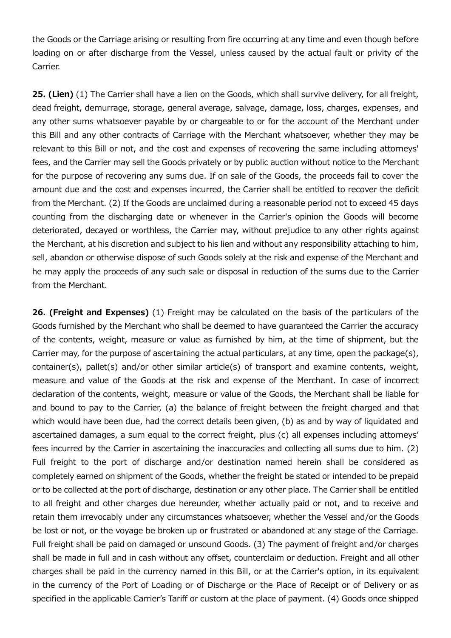the Goods or the Carriage arising or resulting from fire occurring at any time and even though before loading on or after discharge from the Vessel, unless caused by the actual fault or privity of the Carrier.

25. (Lien) (1) The Carrier shall have a lien on the Goods, which shall survive delivery, for all freight, dead freight, demurrage, storage, general average, salvage, damage, loss, charges, expenses, and any other sums whatsoever payable by or chargeable to or for the account of the Merchant under this Bill and any other contracts of Carriage with the Merchant whatsoever, whether they may be relevant to this Bill or not, and the cost and expenses of recovering the same including attorneys' fees, and the Carrier may sell the Goods privately or by public auction without notice to the Merchant for the purpose of recovering any sums due. If on sale of the Goods, the proceeds fail to cover the amount due and the cost and expenses incurred, the Carrier shall be entitled to recover the deficit from the Merchant. (2) If the Goods are unclaimed during a reasonable period not to exceed 45 days counting from the discharging date or whenever in the Carrier's opinion the Goods will become deteriorated, decayed or worthless, the Carrier may, without prejudice to any other rights against the Merchant, at his discretion and subject to his lien and without any responsibility attaching to him, sell, abandon or otherwise dispose of such Goods solely at the risk and expense of the Merchant and he may apply the proceeds of any such sale or disposal in reduction of the sums due to the Carrier from the Merchant.

26. (Freight and Expenses) (1) Freight may be calculated on the basis of the particulars of the Goods furnished by the Merchant who shall be deemed to have guaranteed the Carrier the accuracy of the contents, weight, measure or value as furnished by him, at the time of shipment, but the Carrier may, for the purpose of ascertaining the actual particulars, at any time, open the package(s), container(s), pallet(s) and/or other similar article(s) of transport and examine contents, weight, measure and value of the Goods at the risk and expense of the Merchant. In case of incorrect declaration of the contents, weight, measure or value of the Goods, the Merchant shall be liable for and bound to pay to the Carrier, (a) the balance of freight between the freight charged and that which would have been due, had the correct details been given, (b) as and by way of liquidated and ascertained damages, a sum equal to the correct freight, plus (c) all expenses including attorneys' fees incurred by the Carrier in ascertaining the inaccuracies and collecting all sums due to him. (2) Full freight to the port of discharge and/or destination named herein shall be considered as completely earned on shipment of the Goods, whether the freight be stated or intended to be prepaid or to be collected at the port of discharge, destination or any other place. The Carrier shall be entitled to all freight and other charges due hereunder, whether actually paid or not, and to receive and retain them irrevocably under any circumstances whatsoever, whether the Vessel and/or the Goods be lost or not, or the voyage be broken up or frustrated or abandoned at any stage of the Carriage. Full freight shall be paid on damaged or unsound Goods. (3) The payment of freight and/or charges shall be made in full and in cash without any offset, counterclaim or deduction. Freight and all other charges shall be paid in the currency named in this Bill, or at the Carrier's option, in its equivalent in the currency of the Port of Loading or of Discharge or the Place of Receipt or of Delivery or as specified in the applicable Carrier's Tariff or custom at the place of payment. (4) Goods once shipped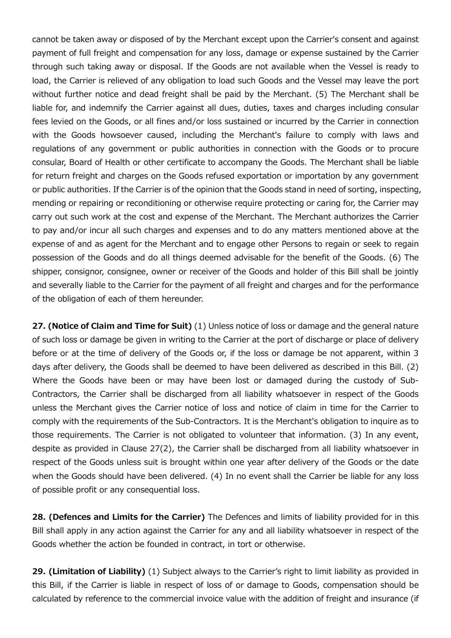cannot be taken away or disposed of by the Merchant except upon the Carrier's consent and against payment of full freight and compensation for any loss, damage or expense sustained by the Carrier through such taking away or disposal. If the Goods are not available when the Vessel is ready to load, the Carrier is relieved of any obligation to load such Goods and the Vessel may leave the port without further notice and dead freight shall be paid by the Merchant. (5) The Merchant shall be liable for, and indemnify the Carrier against all dues, duties, taxes and charges including consular fees levied on the Goods, or all fines and/or loss sustained or incurred by the Carrier in connection with the Goods howsoever caused, including the Merchant's failure to comply with laws and regulations of any government or public authorities in connection with the Goods or to procure consular, Board of Health or other certificate to accompany the Goods. The Merchant shall be liable for return freight and charges on the Goods refused exportation or importation by any government or public authorities. If the Carrier is of the opinion that the Goods stand in need of sorting, inspecting, mending or repairing or reconditioning or otherwise require protecting or caring for, the Carrier may carry out such work at the cost and expense of the Merchant. The Merchant authorizes the Carrier to pay and/or incur all such charges and expenses and to do any matters mentioned above at the expense of and as agent for the Merchant and to engage other Persons to regain or seek to regain possession of the Goods and do all things deemed advisable for the benefit of the Goods. (6) The shipper, consignor, consignee, owner or receiver of the Goods and holder of this Bill shall be jointly and severally liable to the Carrier for the payment of all freight and charges and for the performance of the obligation of each of them hereunder.

27. (Notice of Claim and Time for Suit) (1) Unless notice of loss or damage and the general nature of such loss or damage be given in writing to the Carrier at the port of discharge or place of delivery before or at the time of delivery of the Goods or, if the loss or damage be not apparent, within 3 days after delivery, the Goods shall be deemed to have been delivered as described in this Bill. (2) Where the Goods have been or may have been lost or damaged during the custody of Sub-Contractors, the Carrier shall be discharged from all liability whatsoever in respect of the Goods unless the Merchant gives the Carrier notice of loss and notice of claim in time for the Carrier to comply with the requirements of the Sub-Contractors. It is the Merchant's obligation to inquire as to those requirements. The Carrier is not obligated to volunteer that information. (3) In any event, despite as provided in Clause 27(2), the Carrier shall be discharged from all liability whatsoever in respect of the Goods unless suit is brought within one year after delivery of the Goods or the date when the Goods should have been delivered. (4) In no event shall the Carrier be liable for any loss of possible profit or any consequential loss.

28. (Defences and Limits for the Carrier) The Defences and limits of liability provided for in this Bill shall apply in any action against the Carrier for any and all liability whatsoever in respect of the Goods whether the action be founded in contract, in tort or otherwise.

29. (Limitation of Liability) (1) Subject always to the Carrier's right to limit liability as provided in this Bill, if the Carrier is liable in respect of loss of or damage to Goods, compensation should be calculated by reference to the commercial invoice value with the addition of freight and insurance (if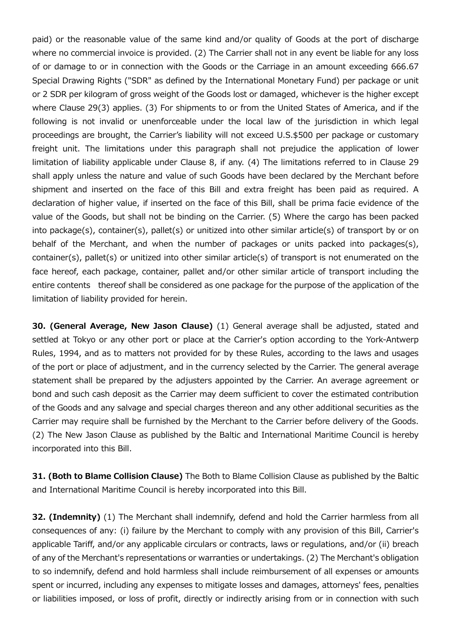paid) or the reasonable value of the same kind and/or quality of Goods at the port of discharge where no commercial invoice is provided. (2) The Carrier shall not in any event be liable for any loss of or damage to or in connection with the Goods or the Carriage in an amount exceeding 666.67 Special Drawing Rights ("SDR" as defined by the International Monetary Fund) per package or unit or 2 SDR per kilogram of gross weight of the Goods lost or damaged, whichever is the higher except where Clause 29(3) applies. (3) For shipments to or from the United States of America, and if the following is not invalid or unenforceable under the local law of the jurisdiction in which legal proceedings are brought, the Carrier's liability will not exceed U.S.\$500 per package or customary freight unit. The limitations under this paragraph shall not prejudice the application of lower limitation of liability applicable under Clause 8, if any. (4) The limitations referred to in Clause 29 shall apply unless the nature and value of such Goods have been declared by the Merchant before shipment and inserted on the face of this Bill and extra freight has been paid as required. A declaration of higher value, if inserted on the face of this Bill, shall be prima facie evidence of the value of the Goods, but shall not be binding on the Carrier. (5) Where the cargo has been packed into package(s), container(s), pallet(s) or unitized into other similar article(s) of transport by or on behalf of the Merchant, and when the number of packages or units packed into packages(s), container(s), pallet(s) or unitized into other similar article(s) of transport is not enumerated on the face hereof, each package, container, pallet and/or other similar article of transport including the entire contents thereof shall be considered as one package for the purpose of the application of the limitation of liability provided for herein.

30. (General Average, New Jason Clause) (1) General average shall be adjusted, stated and settled at Tokyo or any other port or place at the Carrier's option according to the York-Antwerp Rules, 1994, and as to matters not provided for by these Rules, according to the laws and usages of the port or place of adjustment, and in the currency selected by the Carrier. The general average statement shall be prepared by the adjusters appointed by the Carrier. An average agreement or bond and such cash deposit as the Carrier may deem sufficient to cover the estimated contribution of the Goods and any salvage and special charges thereon and any other additional securities as the Carrier may require shall be furnished by the Merchant to the Carrier before delivery of the Goods. (2) The New Jason Clause as published by the Baltic and International Maritime Council is hereby incorporated into this Bill.

31. (Both to Blame Collision Clause) The Both to Blame Collision Clause as published by the Baltic and International Maritime Council is hereby incorporated into this Bill.

**32. (Indemnity)** (1) The Merchant shall indemnify, defend and hold the Carrier harmless from all consequences of any: (i) failure by the Merchant to comply with any provision of this Bill, Carrier's applicable Tariff, and/or any applicable circulars or contracts, laws or regulations, and/or (ii) breach of any of the Merchant's representations or warranties or undertakings. (2) The Merchant's obligation to so indemnify, defend and hold harmless shall include reimbursement of all expenses or amounts spent or incurred, including any expenses to mitigate losses and damages, attorneys' fees, penalties or liabilities imposed, or loss of profit, directly or indirectly arising from or in connection with such